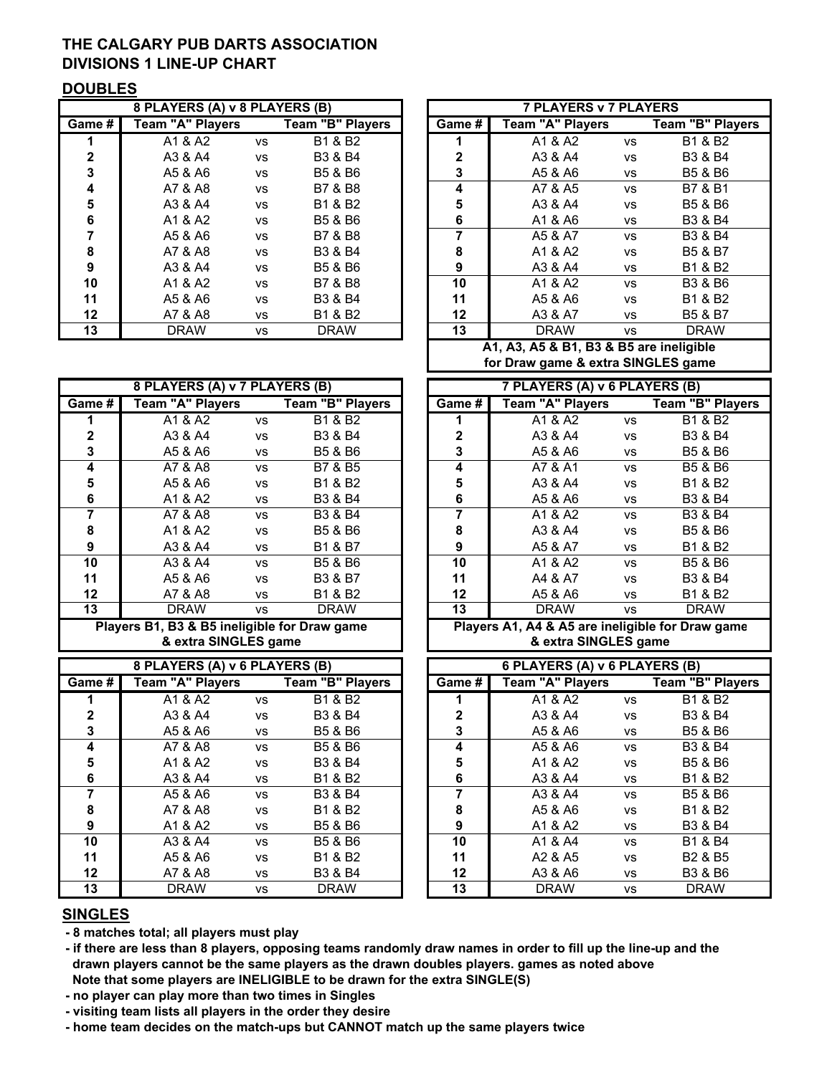# THE CALGARY PUB DARTS ASSOCIATION DIVISIONS 1 LINE-UP CHART

#### **DOUBLES**

|              | 8 PLAYERS (A) v 8 PLAYERS (B) |           |                                 | <b>7 PLAYERS v 7 PLAYERS</b> |                  |           |                    |  |
|--------------|-------------------------------|-----------|---------------------------------|------------------------------|------------------|-----------|--------------------|--|
| Game #       | <b>Team "A" Players</b>       |           | Team "B" Players                | Game #                       | Team "A" Players |           | Team "B" Pla       |  |
|              | A1 & A2                       | <b>VS</b> | B1 & B2                         |                              | A1 & A2          | vs        | <b>B1 &amp; B2</b> |  |
| $\mathbf{2}$ | A3 & A4                       | <b>VS</b> | <b>B3 &amp; B4</b>              | $\mathbf{2}$                 | A3 & A4          | <b>VS</b> | <b>B3 &amp; B4</b> |  |
| 3            | A5 & A6                       | <b>VS</b> | <b>B5 &amp; B6</b>              | 3                            | A5 & A6          | VS        | <b>B5 &amp; B6</b> |  |
| 4            | A7 & A8                       | <b>VS</b> | <b>B7 &amp; B8</b>              | 4                            | A7 & A5          | <b>VS</b> | <b>B7 &amp; B1</b> |  |
| 5            | A3 & A4                       | <b>VS</b> | B1 & B2                         | 5                            | A3 & A4          | vs        | <b>B5 &amp; B6</b> |  |
| 6            | A1 & A2                       | <b>VS</b> | B5 & B6                         | 6                            | A1 & A6          | <b>VS</b> | <b>B3 &amp; B4</b> |  |
|              | A5 & A6                       | <b>VS</b> | <b>B7 &amp; B8</b>              | 7                            | A5 & A7          | <b>VS</b> | <b>B3 &amp; B4</b> |  |
| 8            | A7 & A8                       | <b>VS</b> | <b>B3 &amp; B4</b>              | 8                            | A1 & A2          | <b>VS</b> | <b>B5 &amp; B7</b> |  |
| 9            | A3 & A4                       | <b>VS</b> | B <sub>5</sub> & B <sub>6</sub> | 9                            | A3 & A4          | <b>VS</b> | <b>B1 &amp; B2</b> |  |
| 10           | A1 & A2                       | <b>VS</b> | <b>B7 &amp; B8</b>              | 10                           | A1 & A2          | <b>VS</b> | <b>B3 &amp; B6</b> |  |
| 11           | A5 & A6                       | <b>VS</b> | <b>B3 &amp; B4</b>              | 11                           | A5 & A6          | <b>VS</b> | <b>B1 &amp; B2</b> |  |
| $12 \,$      | A7 & A8                       | <b>VS</b> | B1 & B2                         | 12                           | A3 & A7          | <b>VS</b> | <b>B5 &amp; B7</b> |  |
| 13           | <b>DRAW</b>                   | <b>VS</b> | <b>DRAW</b>                     | 13                           | <b>DRAW</b>      | <b>VS</b> | <b>DRAW</b>        |  |

|         | 8 PLAYERS (A) v 7 PLAYERS (B) |           |                                 |        | 7 PLAYERS (A) v 6 PLAYERS (B) |           |                    |
|---------|-------------------------------|-----------|---------------------------------|--------|-------------------------------|-----------|--------------------|
| Game #  | Team "A" Players              |           | <b>Team "B" Players</b>         | Game # | Team "A" Players              |           | Team "B" Pla       |
|         | A1 & A2                       | <b>VS</b> | B1 & B2                         |        | A1 & A2                       | <b>VS</b> | B1 & B2            |
| 2       | A3 & A4                       | <b>VS</b> | <b>B3 &amp; B4</b>              | 2      | A3 & A4                       | vs        | <b>B3 &amp; B4</b> |
| 3       | A5 & A6                       | <b>VS</b> | B5 & B6                         | 3      | A5 & A6                       | <b>VS</b> | B5 & B6            |
| 4       | A7 & A8                       | <b>VS</b> | B7 & B5                         | 4      | A7 & A1                       | <b>VS</b> | <b>B5 &amp; B6</b> |
| 5       | A5 & A6                       | <b>VS</b> | B1 & B2                         | 5      | A3 & A4                       | vs        | B1 & B2            |
| 6       | A1 & A2                       | <b>VS</b> | <b>B3 &amp; B4</b>              | 6      | A5 & A6                       | VS        | <b>B3 &amp; B4</b> |
| 7       | A7 & A8                       | <b>VS</b> | <b>B3 &amp; B4</b>              | 7      | A1 & A2                       | <b>VS</b> | <b>B3 &amp; B4</b> |
| 8       | A1 & A2                       | <b>VS</b> | B5 & B6                         | 8      | A3 & A4                       | vs        | <b>B5 &amp; B6</b> |
| 9       | A3 & A4                       | <b>VS</b> | <b>B1 &amp; B7</b>              | 9      | A5 & A7                       | <b>VS</b> | <b>B1 &amp; B2</b> |
| 10      | A3 & A4                       | <b>VS</b> | B <sub>5</sub> & B <sub>6</sub> | 10     | A1 & A2                       | <b>VS</b> | <b>B5 &amp; B6</b> |
| 11      | A5 & A6                       | <b>VS</b> | <b>B3 &amp; B7</b>              | 11     | A4 & A7                       | vs        | <b>B3 &amp; B4</b> |
| $12 \,$ | A7 & A8                       | <b>VS</b> | B1 & B2                         | 12     | A5 & A6                       | <b>VS</b> | <b>B1 &amp; B2</b> |
| 13      | <b>DRAW</b>                   | <b>VS</b> | <b>DRAW</b>                     | 13     | <b>DRAW</b>                   | <b>VS</b> | <b>DRAW</b>        |

Players B1, B3 & B5 ineligible for Draw game Players A1, A4 & A5 are ineligible for Draw game & extra SINGLES game & extra SINGLES game

|        | 8 PLAYERS (A) v 6 PLAYERS (B) |                |                    |              | 6 PLAYERS (A) v 6 PLAYERS (B) |                |                    |
|--------|-------------------------------|----------------|--------------------|--------------|-------------------------------|----------------|--------------------|
| Game # | Team "A" Players              |                | Team "B" Players   | Game #       | <b>Team "A" Players</b>       |                | Team "B" Pla       |
|        | A1 & A2                       | <b>VS</b>      | B1 & B2            |              | A1 & A2                       | <b>VS</b>      | <b>B1 &amp; B2</b> |
| 2      | A3 & A4                       | <b>VS</b>      | <b>B3 &amp; B4</b> | $\mathbf{2}$ | A3 & A4                       | VS             | <b>B3 &amp; B4</b> |
| 3      | A5 & A6                       | <b>VS</b>      | B5 & B6            | 3            | A5 & A6                       | <b>VS</b>      | <b>B5 &amp; B6</b> |
| 4      | A7 & A8                       | <b>VS</b>      | B5 & B6            | 4            | A5 & A6                       | <b>VS</b>      | <b>B3 &amp; B4</b> |
| 5      | A1 & A2                       | <b>VS</b>      | <b>B3 &amp; B4</b> | 5            | A1 & A2                       | <b>VS</b>      | <b>B5 &amp; B6</b> |
| 6      | A3 & A4                       | <b>VS</b>      | B1 & B2            | 6            | A3 & A4                       | VS             | <b>B1 &amp; B2</b> |
|        | A5 & A6                       | <b>VS</b>      | <b>B3 &amp; B4</b> | 7            | A3 & A4                       | <b>VS</b>      | <b>B5 &amp; B6</b> |
| 8      | A7 & A8                       | <b>VS</b>      | B1 & B2            | 8            | A5 & A6                       | vs             | <b>B1 &amp; B2</b> |
| 9      | A1 & A2                       | <b>VS</b>      | B5 & B6            | 9            | A1 & A2                       | <b>VS</b>      | <b>B3 &amp; B4</b> |
| 10     | A3 & A4                       | <b>VS</b>      | B5 & B6            | 10           | A1 & A4                       | <b>VS</b>      | <b>B1 &amp; B4</b> |
| 11     | A5 & A6                       | <b>VS</b>      | B1 & B2            | 11           | A2 & A5                       | <b>VS</b>      | <b>B2 &amp; B5</b> |
| 12     | A7 & A8                       | <b>VS</b>      | <b>B3 &amp; B4</b> | $12 \,$      | A3 & A6                       | <b>VS</b>      | <b>B3 &amp; B6</b> |
| 13     | <b>DRAW</b>                   | V <sup>c</sup> | <b>DRAW</b>        | 13           | <b>DRAW</b>                   | V <sup>c</sup> | <b>DRAW</b>        |

|         | 8 PLAYERS (A) v 8 PLAYERS (B) |           |                         |                   | <b>7 PLAYERS v 7 PLAYERS</b>         |           |                                 |
|---------|-------------------------------|-----------|-------------------------|-------------------|--------------------------------------|-----------|---------------------------------|
| Game #  | <b>Team "A" Players</b>       |           | <b>Team "B" Players</b> | Game #            | Team "A" Players                     |           | <b>Team "B" Players</b>         |
|         | A1 & A2                       | <b>VS</b> | B1 & B2                 |                   | A1 & A2                              | <b>VS</b> | B1 & B2                         |
| 2       | A3 & A4                       | <b>VS</b> | <b>B3 &amp; B4</b>      | 2                 | A3 & A4                              | <b>VS</b> | B3 & B4                         |
| 3       | A5 & A6                       | <b>VS</b> | B5 & B6                 | 3                 | A5 & A6                              | VS        | B5 & B6                         |
| 4       | A7 & A8                       | <b>VS</b> | B7 & B8                 | 4                 | A7 & A5                              | <b>VS</b> | <b>B7 &amp; B1</b>              |
| 5       | A3 & A4                       | <b>VS</b> | B1 & B2                 | 5                 | A3 & A4                              | <b>VS</b> | B5 & B6                         |
| 6       | A1 & A2                       | <b>VS</b> | B5 & B6                 | 6                 | A1 & A6                              | VS        | B3 & B4                         |
|         | A5 & A6                       | <b>VS</b> | B7 & B8                 |                   | A5 & A7                              | <b>VS</b> | B3 & B4                         |
| 8       | A7 & A8                       | <b>VS</b> | <b>B3 &amp; B4</b>      | 8                 | A1 & A2                              | <b>VS</b> | B <sub>5</sub> & B <sub>7</sub> |
| 9       | A3 & A4                       | <b>VS</b> | B5 & B6                 | 9                 | A3 & A4                              | VS        | B1 & B2                         |
| 10      | A1 & A2                       | <b>VS</b> | B7 & B8                 | 10                | A1 & A2                              | <b>VS</b> | <b>B3 &amp; B6</b>              |
| 11      | A5 & A6                       | <b>VS</b> | <b>B3 &amp; B4</b>      | 11                | A5 & A6                              | <b>VS</b> | B1 & B2                         |
| $12 \,$ | A7 & A8                       | <b>VS</b> | B1 & B2                 | $12 \overline{ }$ | A3 & A7                              | <b>VS</b> | <b>B5 &amp; B7</b>              |
| 13      | <b>DRAW</b>                   | <b>VS</b> | <b>DRAW</b>             | 13                | <b>DRAW</b>                          | <b>VS</b> | <b>DRAW</b>                     |
|         |                               |           |                         |                   | A4 A2 AF 0 D4 D2 0 DF and inclinible |           |                                 |

A1, A3, A5 & B1, B3 & B5 are ineligible for Draw game & extra SINGLES game

|              | 8 PLAYERS (A) v 7 PLAYERS (B) |           |                                 |  |         | 7 PLAYERS (A) v 6 PLAYERS (B) |           |                                 |
|--------------|-------------------------------|-----------|---------------------------------|--|---------|-------------------------------|-----------|---------------------------------|
| Game #       | Team "A" Players              |           | Team "B" Players                |  | Game #  | Team "A" Players              |           | Team "B" Players                |
|              | A1 & A2                       | <b>VS</b> | B1 & B2                         |  |         | A1 & A2                       | <b>VS</b> | B1 & B2                         |
| $\mathbf{2}$ | A3 & A4                       | <b>VS</b> | <b>B3 &amp; B4</b>              |  | 2       | A3 & A4                       | <b>VS</b> | B3 & B4                         |
| 3            | A5 & A6                       | <b>VS</b> | <b>B5 &amp; B6</b>              |  | 3       | A5 & A6                       | <b>VS</b> | B5 & B6                         |
| 4            | A7 & A8                       | <b>VS</b> | B7 & B5                         |  | 4       | A7 & A1                       | <b>VS</b> | B <sub>5</sub> & B <sub>6</sub> |
| 5            | A5 & A6                       | <b>VS</b> | B <sub>1</sub> & B <sub>2</sub> |  | 5       | A3 & A4                       | <b>VS</b> | B1 & B2                         |
| 6            | A1 & A2                       | <b>VS</b> | <b>B3 &amp; B4</b>              |  | 6       | A5 & A6                       | <b>VS</b> | B3 & B4                         |
|              | A7 & A8                       | <b>VS</b> | B3 & B4                         |  |         | A1 & A2                       | <b>VS</b> | B3 & B4                         |
| 8            | A1 & A2                       | <b>VS</b> | <b>B5 &amp; B6</b>              |  | 8       | A3 & A4                       | <b>VS</b> | B5 & B6                         |
| 9            | A3 & A4                       | <b>VS</b> | <b>B1 &amp; B7</b>              |  | 9       | A5 & A7                       | <b>VS</b> | B1 & B2                         |
| 10           | A3 & A4                       | <b>VS</b> | <b>B5 &amp; B6</b>              |  | 10      | A1 & A2                       | <b>VS</b> | B5 & B6                         |
| 11           | A5 & A6                       | <b>VS</b> | <b>B3 &amp; B7</b>              |  | 11      | A4 & A7                       | <b>VS</b> | <b>B3 &amp; B4</b>              |
| $12 \,$      | A7 & A8                       | VS        | B1 & B2                         |  | $12 \,$ | A5 & A6                       | <b>VS</b> | B1 & B2                         |
| 13           | <b>DRAW</b>                   | <b>VS</b> | <b>DRAW</b>                     |  | 13      | <b>DRAW</b>                   | <b>VS</b> | <b>DRAW</b>                     |

|              | 8 PLAYERS (A) v 6 PLAYERS (B) |           |                    |  |         | 6 PLAYERS (A) v 6 PLAYERS (B) |           |                                 |
|--------------|-------------------------------|-----------|--------------------|--|---------|-------------------------------|-----------|---------------------------------|
| Game # l     | <b>Team "A" Players</b>       |           | Team "B" Players   |  | Game #  | Team "A" Players              |           | Team "B" Players                |
|              | A1 & A2                       | <b>VS</b> | B1 & B2            |  |         | A1 & A2                       | <b>VS</b> | B1 & B2                         |
| $\mathbf{2}$ | A3 & A4                       | <b>VS</b> | <b>B3 &amp; B4</b> |  | 2       | A3 & A4                       | <b>VS</b> | B3 & B4                         |
| 3            | A5 & A6                       | <b>VS</b> | B5 & B6            |  | 3       | A5 & A6                       | <b>VS</b> | B5 & B6                         |
| 4            | A7 & A8                       | <b>VS</b> | B5 & B6            |  | 4       | A5 & A6                       | <b>VS</b> | B3 & B4                         |
| 5            | A1 & A2                       | <b>VS</b> | <b>B3 &amp; B4</b> |  | 5       | A1 & A2                       | <b>VS</b> | <b>B5 &amp; B6</b>              |
| 6            | A3 & A4                       | <b>VS</b> | B1 & B2            |  | 6       | A3 & A4                       | <b>VS</b> | B1 & B2                         |
|              | A5 & A6                       | <b>VS</b> | <b>B3 &amp; B4</b> |  | 7       | A3 & A4                       | <b>VS</b> | B5 & B6                         |
| 8            | A7 & A8                       | <b>VS</b> | B1 & B2            |  | 8       | A5 & A6                       | <b>VS</b> | B1 & B2                         |
| 9            | A1 & A2                       | <b>VS</b> | B5 & B6            |  | 9       | A1 & A2                       | VS        | B3 & B4                         |
| 10           | A3 & A4                       | <b>VS</b> | B5 & B6            |  | 10      | A1 & A4                       | <b>VS</b> | B1 & B4                         |
| 11           | A5 & A6                       | <b>VS</b> | B1 & B2            |  | 11      | A2 & A5                       | <b>VS</b> | B <sub>2</sub> & B <sub>5</sub> |
| $12 \,$      | A7 & A8                       | <b>VS</b> | <b>B3 &amp; B4</b> |  | $12 \,$ | A3 & A6                       | <b>VS</b> | <b>B3 &amp; B6</b>              |
| 13           | <b>DRAW</b>                   | <b>VS</b> | <b>DRAW</b>        |  | 13      | <b>DRAW</b>                   | <b>VS</b> | <b>DRAW</b>                     |

### SINGLES

- 8 matches total; all players must play

 Note that some players are INELIGIBLE to be drawn for the extra SINGLE(S) - if there are less than 8 players, opposing teams randomly draw names in order to fill up the line-up and the drawn players cannot be the same players as the drawn doubles players. games as noted above

- no player can play more than two times in Singles

- visiting team lists all players in the order they desire

- home team decides on the match-ups but CANNOT match up the same players twice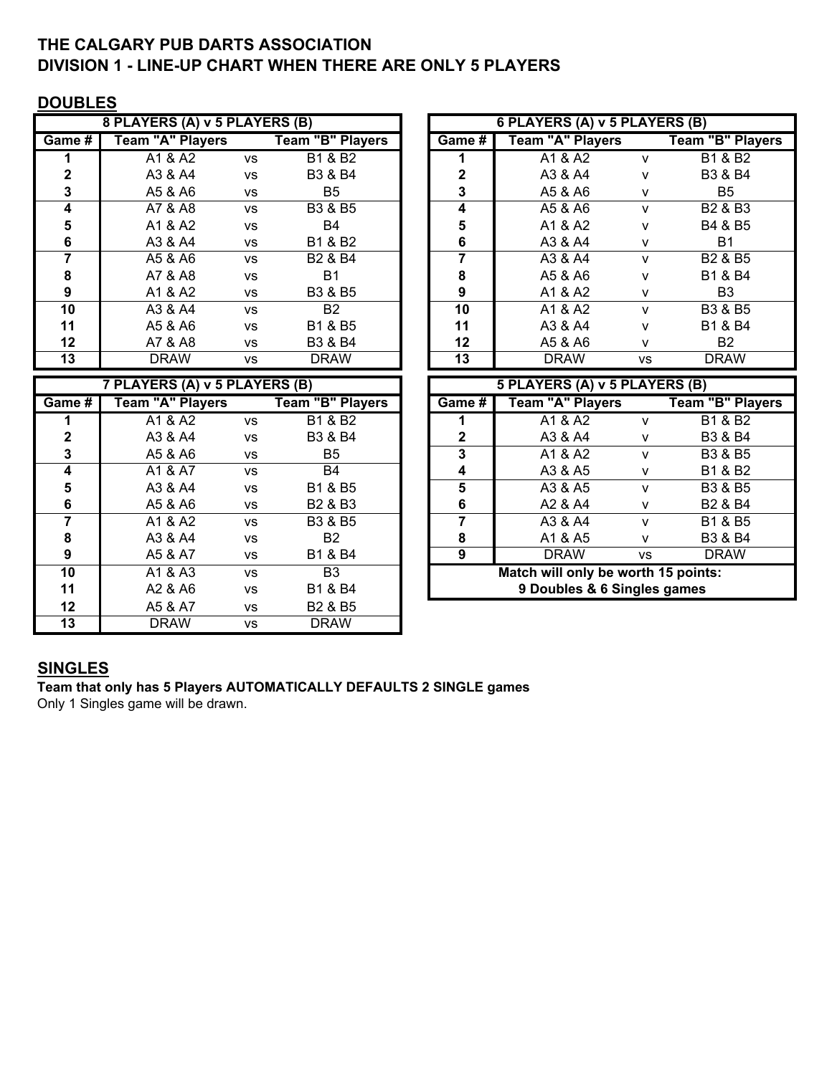# THE CALGARY PUB DARTS ASSOCIATION DIVISION 1 - LINE-UP CHART WHEN THERE ARE ONLY 5 PLAYERS

## **DOUBLES**

|         | 8 PLAYERS (A) v 5 PLAYERS (B) |           |                                 |         | 6 PLAYERS (A) v 5 PLAYERS (B) |              |                                 |
|---------|-------------------------------|-----------|---------------------------------|---------|-------------------------------|--------------|---------------------------------|
| Game #  | <b>Team "A" Players</b>       |           | Team "B" Players                | Game #  | <b>Team "A" Players</b>       |              | Team "B" Players                |
|         | A1 & A2                       | <b>VS</b> | <b>B1 &amp; B2</b>              |         | A1 & A2                       | v            | <b>B1 &amp; B2</b>              |
| 2       | A3 & A4                       | <b>VS</b> | B3 & B4                         | 2       | A3 & A4                       | v            | B3 & B4                         |
| 3       | A5 & A6                       | <b>VS</b> | B5                              | 3       | A5 & A6                       | v            | B5                              |
| 4       | A7 & A8                       | <b>VS</b> | <b>B3 &amp; B5</b>              | 4       | A5 & A6                       | $\mathsf{v}$ | B <sub>2</sub> & B <sub>3</sub> |
| 5       | A1 & A2                       | <b>VS</b> | B4                              | 5       | A1 & A2                       | v            | B4 & B5                         |
| 6       | A3 & A4                       | <b>VS</b> | B1 & B2                         | 6       | A3 & A4                       | v            | B1                              |
|         | A5 & A6                       | <b>VS</b> | B <sub>2</sub> & B <sub>4</sub> |         | A3 & A4                       | v            | B <sub>2</sub> & B <sub>5</sub> |
| 8       | A7 & A8                       | <b>VS</b> | <b>B1</b>                       | 8       | A5 & A6                       | v            | B1 & B4                         |
| 9       | A1 & A2                       | <b>VS</b> | B3 & B5                         | 9       | A1 & A2                       | v            | B3                              |
| 10      | A3 & A4                       | <b>VS</b> | <b>B2</b>                       | 10      | A1 & A2                       | v            | B3 & B5                         |
| 11      | A5 & A6                       | <b>VS</b> | B1 & B5                         | 11      | A3 & A4                       | v            | <b>B1 &amp; B4</b>              |
| $12 \,$ | A7 & A8                       | <b>VS</b> | B3 & B4                         | $12 \,$ | A5 & A6                       | v            | B2                              |
| 13      | <b>DRAW</b>                   | <b>VS</b> | <b>DRAW</b>                     | 13      | <b>DRAW</b>                   | <b>VS</b>    | <b>DRAW</b>                     |

|          | 7 PLAYERS (A) v 5 PLAYERS (B) |           |                                 |  |              | 5 PLAYERS (A) v 5 PLAYERS (B)       |           |                                 |
|----------|-------------------------------|-----------|---------------------------------|--|--------------|-------------------------------------|-----------|---------------------------------|
| Game $#$ | <b>Team "A" Players</b>       |           | <b>Team "B" Players</b>         |  | Game #       | Team "A" Players                    |           | <b>Team "B" Players</b>         |
|          | A1 & A2                       | <b>VS</b> | B1 & B2                         |  |              | A1 & A2                             | v         | B1 & B2                         |
| 2        | A3 & A4                       | <b>VS</b> | B3 & B4                         |  | $\mathbf{2}$ | A3 & A4                             | v         | B3 & B4                         |
| 3        | A5 & A6                       | <b>VS</b> | <b>B5</b>                       |  | 3            | A1 & A2                             | v         | B3 & B5                         |
| 4        | A1 & A7                       | <b>VS</b> | <b>B4</b>                       |  | 4            | A3 & A5                             | v         | B1 & B2                         |
| 5        | A3 & A4                       | <b>VS</b> | B1 & B5                         |  | 5            | A3 & A5                             | v         | <b>B3 &amp; B5</b>              |
| 6        | A5 & A6                       | <b>VS</b> | B <sub>2</sub> & B <sub>3</sub> |  | 6            | A2 & A4                             | v         | B <sub>2</sub> & B <sub>4</sub> |
| 7        | A1 & A2                       | <b>VS</b> | B3 & B5                         |  | 7            | A3 & A4                             | v         | B1 & B5                         |
| 8        | A3 & A4                       | <b>VS</b> | B2                              |  | 8            | A1 & A5                             | v         | B3 & B4                         |
| 9        | A5 & A7                       | <b>VS</b> | B1 & B4                         |  | 9            | <b>DRAW</b>                         | <b>VS</b> | <b>DRAW</b>                     |
| 10       | A1 & A3                       | <b>VS</b> | <b>B3</b>                       |  |              | Match will only be worth 15 points: |           |                                 |
| 11       | A2 & A6                       | <b>VS</b> | B1 & B4                         |  |              | 9 Doubles & 6 Singles games         |           |                                 |
| 12       | A5 & A7                       | <b>VS</b> | B <sub>2</sub> & B <sub>5</sub> |  |              |                                     |           |                                 |
| 13       | <b>DRAW</b>                   | <b>VS</b> | <b>DRAW</b>                     |  |              |                                     |           |                                 |

|                         | 8 PLAYERS (A) v 5 PLAYERS (B) |           |                                 |        |             | 6 PLAYERS (A) v 5 PLAYERS (B) |              |                                 |
|-------------------------|-------------------------------|-----------|---------------------------------|--------|-------------|-------------------------------|--------------|---------------------------------|
| me #                    | Team "A" Players              |           | Team "B" Players                | Game # |             | Team "A" Players              |              | Team "B" Players                |
|                         | A1 & A2                       | <b>VS</b> | <b>B1 &amp; B2</b>              |        |             | A1 & A2                       | v            | B1 & B2                         |
| $\mathbf{2}$            | A3 & A4                       | <b>VS</b> | <b>B3 &amp; B4</b>              |        | $\mathbf 2$ | A3 & A4                       | v            | B3 & B4                         |
| $\mathbf{3}$            | A5 & A6                       | <b>VS</b> | B5                              |        | 3           | A5 & A6                       | v            | B <sub>5</sub>                  |
| $\overline{\mathbf{4}}$ | A7 & A8                       | <b>VS</b> | B3 & B5                         |        | 4           | A5 & A6                       | $\mathsf{V}$ | B <sub>2</sub> & B <sub>3</sub> |
| $5\phantom{1}$          | A1 & A2                       | <b>VS</b> | B4                              |        | 5           | A1 & A2                       | v            | B4 & B5                         |
| 6                       | A3 & A4                       | <b>VS</b> | B1 & B2                         |        | 6           | A3 & A4                       | v            | <b>B1</b>                       |
| $\overline{7}$          | A5 & A6                       | <b>VS</b> | B <sub>2</sub> & B <sub>4</sub> |        |             | A3 & A4                       | $\mathsf{v}$ | B <sub>2</sub> & B <sub>5</sub> |
| 8                       | A7 & A8                       | <b>VS</b> | <b>B1</b>                       |        | 8           | A5 & A6                       | v            | B1 & B4                         |
| 9                       | A1 & A2                       | VS        | B3 & B5                         |        | 9           | A1 & A2                       | v            | B <sub>3</sub>                  |
| 10 <sub>1</sub>         | A3 & A4                       | <b>VS</b> | <b>B2</b>                       |        | 10          | A1 & A2                       | $\mathsf{v}$ | <b>B3 &amp; B5</b>              |
| 11                      | A5 & A6                       | <b>VS</b> | B1 & B5                         |        | 11          | A3 & A4                       | $\mathsf{v}$ | <b>B1 &amp; B4</b>              |
| 12 <sub>2</sub>         | A7 & A8                       | VS        | B3 & B4                         |        | 12          | A5 & A6                       | v            | <b>B2</b>                       |
| 13                      | <b>DRAW</b>                   | <b>VS</b> | <b>DRAW</b>                     |        | 13          | <b>DRAW</b>                   | <b>VS</b>    | <b>DRAW</b>                     |

|                                              | 5 PLAYERS (A) v 5 PLAYERS (B)                   |   |                                 |  |  |  |  |  |  |  |  |  |
|----------------------------------------------|-------------------------------------------------|---|---------------------------------|--|--|--|--|--|--|--|--|--|
| Game #                                       | <b>Team "A" Players</b>                         |   | <b>Team "B" Players</b>         |  |  |  |  |  |  |  |  |  |
| 1                                            | A1 & A2                                         | v | B <sub>1</sub> & B <sub>2</sub> |  |  |  |  |  |  |  |  |  |
| $\mathbf{2}$                                 | A3 & A4                                         | v | <b>B3 &amp; B4</b>              |  |  |  |  |  |  |  |  |  |
| 3                                            | A1 & A2                                         | v | <b>B3 &amp; B5</b>              |  |  |  |  |  |  |  |  |  |
| 4                                            | B <sub>1</sub> & B <sub>2</sub><br>A3 & A5<br>v |   |                                 |  |  |  |  |  |  |  |  |  |
| 5                                            | A3 & A5                                         | v | <b>B3 &amp; B5</b>              |  |  |  |  |  |  |  |  |  |
| 6                                            | A2 & A4                                         | v | B <sub>2</sub> & B <sub>4</sub> |  |  |  |  |  |  |  |  |  |
| 7                                            | A3 & A4                                         | v | <b>B1 &amp; B5</b>              |  |  |  |  |  |  |  |  |  |
| 8                                            | A1 & A5                                         | v | B3 & B4                         |  |  |  |  |  |  |  |  |  |
| <b>DRAW</b><br><b>DRAW</b><br>9<br><b>VS</b> |                                                 |   |                                 |  |  |  |  |  |  |  |  |  |
| Match will only be worth 15 points:          |                                                 |   |                                 |  |  |  |  |  |  |  |  |  |
|                                              | 9 Doubles & 6 Singles games                     |   |                                 |  |  |  |  |  |  |  |  |  |

# SINGLES

Team that only has 5 Players AUTOMATICALLY DEFAULTS 2 SINGLE games

Only 1 Singles game will be drawn.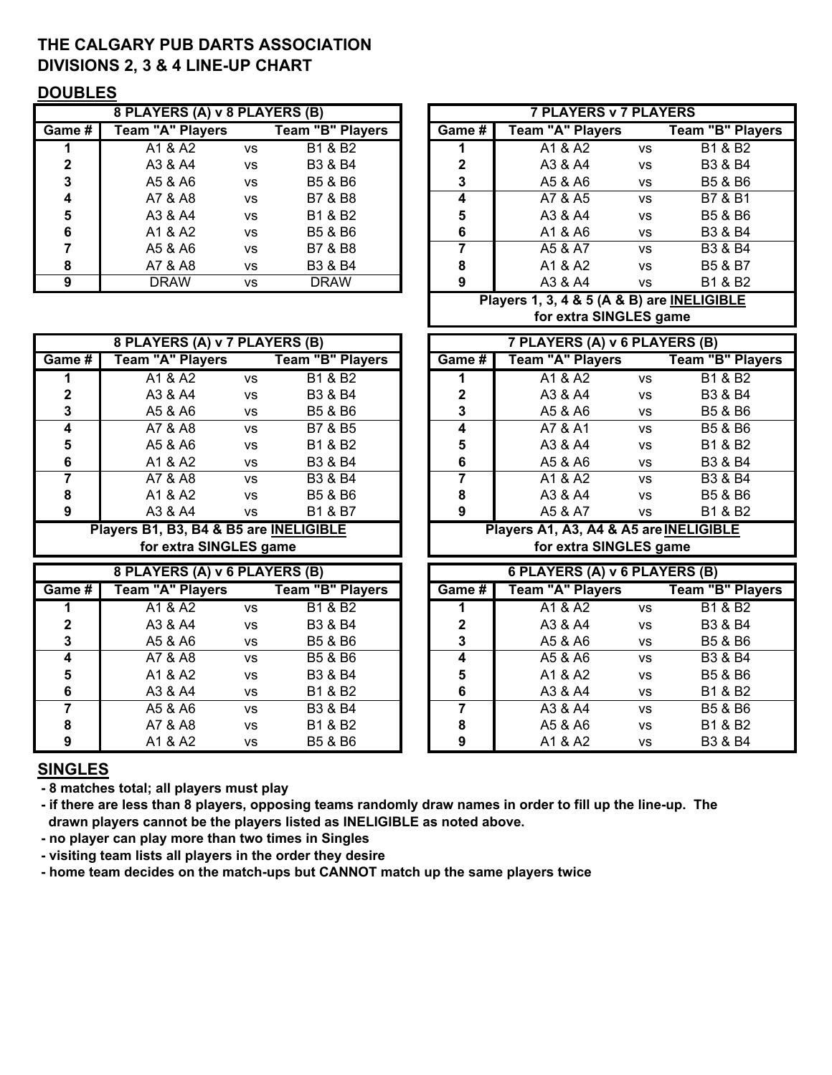# THE CALGARY PUB DARTS ASSOCIATION DIVISIONS 2, 3 & 4 LINE-UP CHART

### DOUBLES

|        | 8 PLAYERS (A) v 8 PLAYERS (B) |           |                         |        | <b>7 PLAYERS v 7 PLAYERS</b> |           |                    |
|--------|-------------------------------|-----------|-------------------------|--------|------------------------------|-----------|--------------------|
| Game # | <b>Team "A" Players</b>       |           | <b>Team "B" Players</b> | Game # | Team "A" Players             |           | Team "B" Pla       |
|        | A1 & A2                       | <b>VS</b> | B1 & B2                 |        | A1 & A2                      | <b>VS</b> | <b>B1 &amp; B2</b> |
|        | A3 & A4                       | <b>VS</b> | B3 & B4                 |        | A3 & A4                      | <b>VS</b> | <b>B3 &amp; B4</b> |
| 3      | A5 & A6                       | <b>VS</b> | B5 & B6                 | 3      | A5 & A6                      | <b>VS</b> | <b>B5 &amp; B6</b> |
| 4      | A7 & A8                       | <b>VS</b> | B7 & B8                 | 4      | A7 & A5                      | <b>VS</b> | <b>B7 &amp; B1</b> |
| 5      | A3 & A4                       | <b>VS</b> | B1 & B2                 | 5      | A3 & A4                      | <b>VS</b> | <b>B5 &amp; B6</b> |
| 6      | A1 & A2                       | <b>VS</b> | B5 & B6                 | 6      | A1 & A6                      | <b>VS</b> | <b>B3 &amp; B4</b> |
|        | A5 & A6                       | <b>VS</b> | B7 & B8                 |        | A5 & A7                      | <b>VS</b> | <b>B3 &amp; B4</b> |
| 8      | A7 & A8                       | <b>VS</b> | B3 & B4                 | 8      | A1 & A2                      | <b>VS</b> | <b>B5 &amp; B7</b> |
| 9      | <b>DRAW</b>                   | VS        | <b>DRAW</b>             | 9      | A3 & A4                      | <b>VS</b> | <b>B1 &amp; B2</b> |

| , , , , , , , |                               |           |                         |        |                                            |           |                         |  |  |  |
|---------------|-------------------------------|-----------|-------------------------|--------|--------------------------------------------|-----------|-------------------------|--|--|--|
|               | 8 PLAYERS (A) v 8 PLAYERS (B) |           |                         |        | <b>7 PLAYERS v 7 PLAYERS</b>               |           |                         |  |  |  |
| Game #        | <b>Team "A" Players</b>       |           | <b>Team "B" Players</b> | Game # | <b>Team "A" Players</b>                    |           | <b>Team "B" Players</b> |  |  |  |
|               | A1 & A2                       | <b>VS</b> | B1 & B2                 |        | A1 & A2                                    | <b>VS</b> | B1 & B2                 |  |  |  |
| 2             | A3 & A4                       | <b>VS</b> | B3 & B4                 | 2      | A3 & A4                                    | <b>VS</b> | B3 & B4                 |  |  |  |
| 3             | A5 & A6                       | <b>VS</b> | B5 & B6                 | 3      | A5 & A6                                    | <b>VS</b> | B5 & B6                 |  |  |  |
| 4             | A7 & A8                       | <b>VS</b> | B7 & B8                 | 4      | A7 & A5                                    | <b>VS</b> | B7 & B1                 |  |  |  |
| 5             | A3 & A4                       | <b>VS</b> | B1 & B2                 | 5      | A3 & A4                                    | <b>VS</b> | B5 & B6                 |  |  |  |
| 6             | A1 & A2                       | <b>VS</b> | B5 & B6                 | 6      | A1 & A6                                    | <b>VS</b> | B3 & B4                 |  |  |  |
|               | A5 & A6                       | <b>VS</b> | B7 & B8                 |        | A5 & A7                                    | <b>VS</b> | B3 & B4                 |  |  |  |
| 8             | A7 & A8                       | <b>VS</b> | B3 & B4                 | 8      | A1 & A2                                    | <b>VS</b> | B5 & B7                 |  |  |  |
| 9             | <b>DRAW</b>                   | <b>VS</b> | <b>DRAW</b>             | 9      | A3 & A4                                    | <b>VS</b> | B1 & B2                 |  |  |  |
|               |                               |           |                         |        | Players 1, 3, 4 & 5 (A & B) are INELIGIBLE |           |                         |  |  |  |

| Team "A" Players                       |           | <b>Team "B" Players</b> |  | Game #         | Team "A" Players                       |           | <b>Team "B" Players</b>                                        |
|----------------------------------------|-----------|-------------------------|--|----------------|----------------------------------------|-----------|----------------------------------------------------------------|
| A1 & A2                                | <b>VS</b> | <b>B1 &amp; B2</b>      |  |                | A1 & A2                                | <b>VS</b> | <b>B1 &amp; B2</b>                                             |
| A3 & A4                                | <b>VS</b> | B3 & B4                 |  | 2              | A3 & A4                                | <b>VS</b> | B3 & B4                                                        |
| A5 & A6                                | <b>VS</b> | B5 & B6                 |  | 3              | A5 & A6                                | <b>VS</b> | B5 & B6                                                        |
| A7 & A8                                | <b>VS</b> | B7 & B5                 |  | 4              | A7 & A1                                | <b>VS</b> | B5 & B6                                                        |
| A5 & A6                                | <b>VS</b> | B1 & B2                 |  | 5              | A3 & A4                                | <b>VS</b> | B1 & B2                                                        |
| A1 & A2                                | <b>VS</b> | B3 & B4                 |  | 6              | A5 & A6                                | <b>VS</b> | B3 & B4                                                        |
| A7 & A8                                | <b>VS</b> | B3 & B4                 |  | $\overline{7}$ | A1 & A2                                | <b>VS</b> | B3 & B4                                                        |
| A1 & A2                                | <b>VS</b> | B5 & B6                 |  | 8              | A3 & A4                                | <b>VS</b> | B5 & B6                                                        |
| A3 & A4                                | <b>VS</b> | B1 & B7                 |  | 9              | A5 & A7                                | <b>VS</b> | B1 & B2                                                        |
| Players B1, B3, B4 & B5 are INELIGIBLE |           |                         |  |                |                                        |           |                                                                |
|                                        |           |                         |  |                | Players A1, A3, A4 & A5 are INELIGIBLE |           |                                                                |
| for extra SINGLES game                 |           |                         |  |                | for extra SINGLES game                 |           |                                                                |
| 8 PLAYERS (A) v 6 PLAYERS (B)          |           |                         |  |                | 6 PLAYERS (A) v 6 PLAYERS (B)          |           |                                                                |
| Game #<br><b>Team "A" Players</b>      |           | <b>Team "B" Players</b> |  | Game #         | <b>Team "A" Players</b>                |           | <b>Team "B" Players</b>                                        |
| A1 & A2                                | <b>VS</b> | <b>B1 &amp; B2</b>      |  |                | A1 & A2                                | <b>VS</b> | <b>B1 &amp; B2</b>                                             |
| A3 & A4                                | <b>VS</b> | B3 & B4                 |  | $\mathbf{2}$   | A3 & A4                                | VS        | B3 & B4                                                        |
| A5 & A6                                | VS        | B5 & B6                 |  | 3              | A5 & A6                                | VS        | B5 & B6                                                        |
| A7 & A8                                | <b>VS</b> | B5 & B6                 |  | 4              | A5 & A6                                | <b>VS</b> | B3 & B4                                                        |
| A1 & A2                                | <b>VS</b> | B3 & B4                 |  | 5              | A1 & A2                                | <b>VS</b> | B5 & B6                                                        |
| A3 & A4                                | VS        | B1 & B2                 |  | 6              | A3 & A4                                | VS        | B1 & B2                                                        |
|                                        |           |                         |  |                |                                        |           | 8 PLAYERS (A) V / PLAYERS (B)<br>/ PLAYERS (A) V 6 PLAYERS (B) |

|                                      |    |                  | for extra SINGLES game |                               |    |                    |  |  |  |
|--------------------------------------|----|------------------|------------------------|-------------------------------|----|--------------------|--|--|--|
| <b>8 PLAYERS (A) v 7 PLAYERS (B)</b> |    |                  |                        | 7 PLAYERS (A) v 6 PLAYERS (B) |    |                    |  |  |  |
| Team "A" Players                     |    | Team "B" Players | Game # I               | Team "A" Players              |    | Team "B" Players   |  |  |  |
| A1 & A2                              | vs | B1 & B2          |                        | A1 & A2                       | ٧S | B1 & B2            |  |  |  |
| A3 & A4                              | vs | B3 & B4          |                        | A3 & A4                       | ٧S | <b>B3 &amp; B4</b> |  |  |  |

|             | 8 PLAYERS (A) v 6 PLAYERS (B) |           |                  | 6 PLAYERS (A) v 6 PLAYERS (B) |                         |           |                    |  |  |
|-------------|-------------------------------|-----------|------------------|-------------------------------|-------------------------|-----------|--------------------|--|--|
| ne # l      | <b>Team "A" Players</b>       |           | Team "B" Players | Game #                        | <b>Team "A" Players</b> |           | Team "B" Players   |  |  |
|             | A1 & A2                       | VS        | B1 & B2          |                               | A1 & A2                 | VS        | <b>B1 &amp; B2</b> |  |  |
| $\mathbf 2$ | A3 & A4                       | <b>VS</b> | B3 & B4          | $\mathbf{2}$                  | A3 & A4                 | <b>VS</b> | <b>B3 &amp; B4</b> |  |  |
| 3           | A5 & A6                       | <b>VS</b> | B5 & B6          | 3                             | A5 & A6                 | <b>VS</b> | B5 & B6            |  |  |
| 4           | A7 & A8                       | <b>VS</b> | B5 & B6          | 4                             | A5 & A6                 | <b>VS</b> | B3 & B4            |  |  |
| 5           | A1 & A2                       | <b>VS</b> | B3 & B4          | 5                             | A1 & A2                 | <b>VS</b> | <b>B5 &amp; B6</b> |  |  |
| 6           | A3 & A4                       | <b>VS</b> | B1 & B2          | 6                             | A3 & A4                 | <b>VS</b> | B1 & B2            |  |  |
|             | A5 & A6                       | VS        | B3 & B4          |                               | A3 & A4                 | <b>VS</b> | B5 & B6            |  |  |
| 8           | A7 & A8                       | <b>VS</b> | B1 & B2          | 8                             | A5 & A6                 | <b>VS</b> | B1 & B2            |  |  |
| 9           | A1 & A2                       | <b>VS</b> | B5 & B6          | 9                             | A1 & A2                 | VS        | <b>B3 &amp; B4</b> |  |  |

# SINGLES

- 8 matches total; all players must play
- if there are less than 8 players, opposing teams randomly draw names in order to fill up the line-up. The drawn players cannot be the players listed as INELIGIBLE as noted above.
- no player can play more than two times in Singles
- visiting team lists all players in the order they desire
- home team decides on the match-ups but CANNOT match up the same players twice